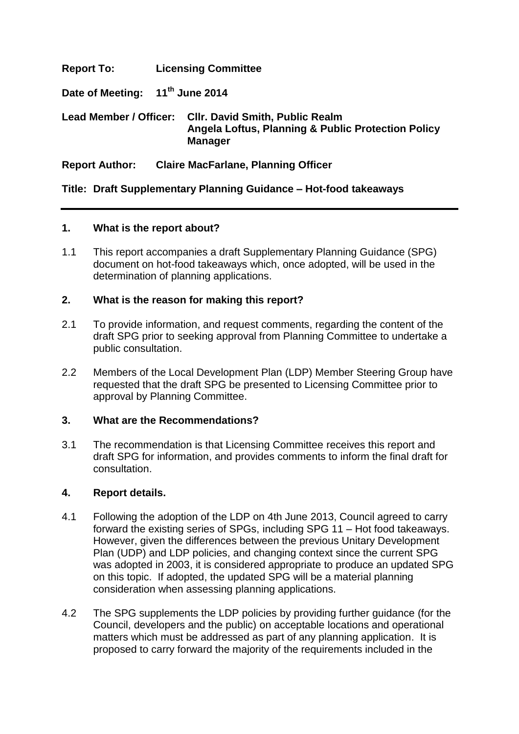# **Report To: Licensing Committee**

**Date of Meeting: 11th June 2014**

## **Lead Member / Officer: Cllr. David Smith, Public Realm Angela Loftus, Planning & Public Protection Policy Manager**

# **Report Author: Claire MacFarlane, Planning Officer**

**Title: Draft Supplementary Planning Guidance – Hot-food takeaways**

### **1. What is the report about?**

1.1 This report accompanies a draft Supplementary Planning Guidance (SPG) document on hot-food takeaways which, once adopted, will be used in the determination of planning applications.

## **2. What is the reason for making this report?**

- 2.1 To provide information, and request comments, regarding the content of the draft SPG prior to seeking approval from Planning Committee to undertake a public consultation.
- 2.2 Members of the Local Development Plan (LDP) Member Steering Group have requested that the draft SPG be presented to Licensing Committee prior to approval by Planning Committee.

## **3. What are the Recommendations?**

3.1 The recommendation is that Licensing Committee receives this report and draft SPG for information, and provides comments to inform the final draft for consultation.

### **4. Report details.**

- 4.1 Following the adoption of the LDP on 4th June 2013, Council agreed to carry forward the existing series of SPGs, including SPG 11 – Hot food takeaways. However, given the differences between the previous Unitary Development Plan (UDP) and LDP policies, and changing context since the current SPG was adopted in 2003, it is considered appropriate to produce an updated SPG on this topic. If adopted, the updated SPG will be a material planning consideration when assessing planning applications.
- 4.2 The SPG supplements the LDP policies by providing further guidance (for the Council, developers and the public) on acceptable locations and operational matters which must be addressed as part of any planning application. It is proposed to carry forward the majority of the requirements included in the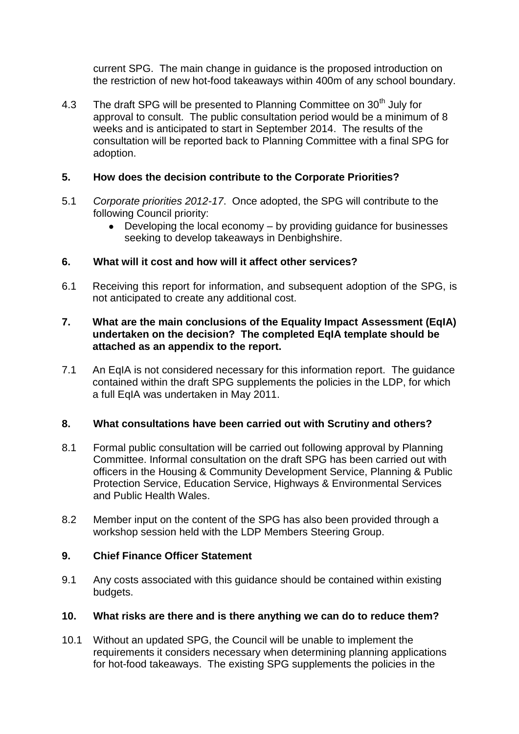current SPG. The main change in guidance is the proposed introduction on the restriction of new hot-food takeaways within 400m of any school boundary.

4.3 The draft SPG will be presented to Planning Committee on 30<sup>th</sup> July for approval to consult. The public consultation period would be a minimum of 8 weeks and is anticipated to start in September 2014. The results of the consultation will be reported back to Planning Committee with a final SPG for adoption.

# **5. How does the decision contribute to the Corporate Priorities?**

- 5.1 *Corporate priorities 2012-17*. Once adopted, the SPG will contribute to the following Council priority:
	- Developing the local economy by providing guidance for businesses seeking to develop takeaways in Denbighshire.

## **6. What will it cost and how will it affect other services?**

6.1 Receiving this report for information, and subsequent adoption of the SPG, is not anticipated to create any additional cost.

### **7. What are the main conclusions of the Equality Impact Assessment (EqIA) undertaken on the decision? The completed EqIA template should be attached as an appendix to the report.**

7.1 An EqIA is not considered necessary for this information report. The guidance contained within the draft SPG supplements the policies in the LDP, for which a full EqIA was undertaken in May 2011.

### **8. What consultations have been carried out with Scrutiny and others?**

- 8.1 Formal public consultation will be carried out following approval by Planning Committee. Informal consultation on the draft SPG has been carried out with officers in the Housing & Community Development Service, Planning & Public Protection Service, Education Service, Highways & Environmental Services and Public Health Wales.
- 8.2 Member input on the content of the SPG has also been provided through a workshop session held with the LDP Members Steering Group.

### **9. Chief Finance Officer Statement**

9.1 Any costs associated with this guidance should be contained within existing budgets.

### **10. What risks are there and is there anything we can do to reduce them?**

10.1 Without an updated SPG, the Council will be unable to implement the requirements it considers necessary when determining planning applications for hot-food takeaways. The existing SPG supplements the policies in the